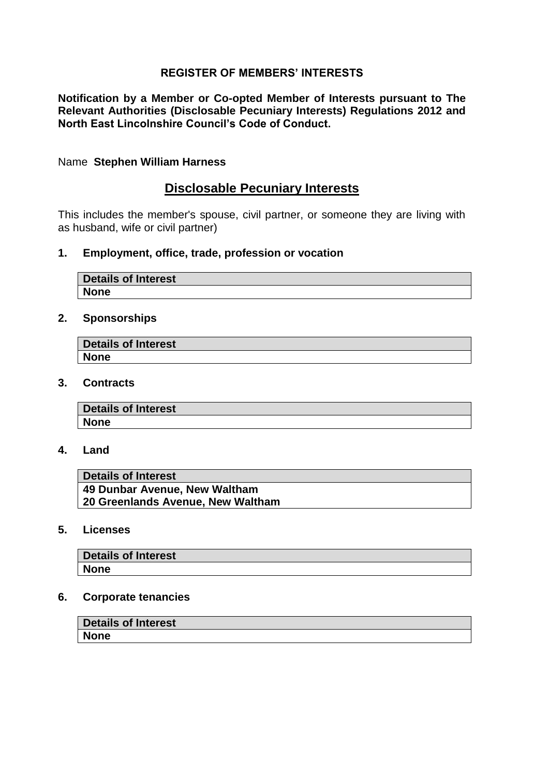# **REGISTER OF MEMBERS' INTERESTS**

**Notification by a Member or Co-opted Member of Interests pursuant to The Relevant Authorities (Disclosable Pecuniary Interests) Regulations 2012 and North East Lincolnshire Council's Code of Conduct.**

#### Name **Stephen William Harness**

# **Disclosable Pecuniary Interests**

This includes the member's spouse, civil partner, or someone they are living with as husband, wife or civil partner)

### **1. Employment, office, trade, profession or vocation**

| Details of Interest |  |
|---------------------|--|
| <b>None</b>         |  |

### **2. Sponsorships**

| Details of Interest |  |
|---------------------|--|
| <b>None</b>         |  |

**3. Contracts**

| Details of Interest |  |
|---------------------|--|
| <b>None</b>         |  |
|                     |  |

**4. Land**

| <b>Details of Interest</b>        |
|-----------------------------------|
| 49 Dunbar Avenue, New Waltham     |
| 20 Greenlands Avenue, New Waltham |

**5. Licenses** 

| <b>Details of Interest</b> |  |
|----------------------------|--|
| <b>None</b>                |  |

#### **6. Corporate tenancies**

| Details of Interest |  |
|---------------------|--|
| <b>None</b>         |  |